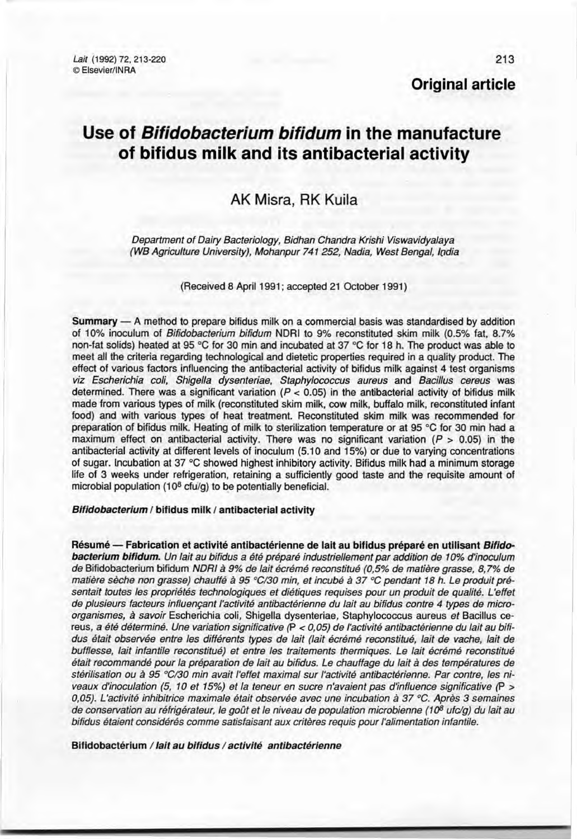**Original article**

# **Use of** *Bifidobacterium bifidum* **in the manufacture of bifidus milk and its antibacterial activity**

## AK Misra, RK Kuila

*Oepartment of Oairy Bacteriology, Bidhan Chandra Krishi Viswavidyalaya (WB Agriculture University), Mohanpur* 741 252, *Nadia, West Bengal, lodia*

(Received 8 April 1991; accepted 21 October 1991)

 $Summary - A$  method to prepare bifidus milk on a commercial basis was standardised by addition of 10% inoculum of *Bifidobacterium bifidum* NDRI to 9% reconstituted skim milk (0.5% fat, 8.7% non-fat solids) heated at 95 °C for 30 min and incubated at 37 °C for 18 h. The product was able to meet ail the criteria regarding technological and dietetic properties required in a quality product. The effect of various factors influencing the antibacterial activity of bifidus milk against 4 test organisms *viz Escherichia coli, Shigella dysenteriae, Staphylococcus aureus* and *Bacillus cereus* was determined. There was a significant variation  $(P < 0.05)$  in the antibacterial activity of bifidus milk made from various types of milk (reconstituted skim milk, cow milk, buffalo milk, reconstituted infant food) and with various types of heat treatment. Reconstituted skim milk was recommended for preparation of bifidus milk. Heating of milk to sterilization temperature or at 95 "C for 30 min had a maximum effect on antibacterial activity. There was no significant variation  $(P > 0.05)$  in the antibacterial activity at different levels of inoculum (5.10 and 15%) or due to varying concentrations of sugar. Incubation at 37 °C showed highest inhibitory activity. Bifidus milk had a minimum storage Iife of 3 weeks under refrigeration, retaining a sufficiently good taste and the requisite amount of microbial population (108 *cfu/g)* to be potentially beneficial.

#### *Bifidobacterium 1* bifidus milk *1*antibacterial activity

Résumé - Fabrication et activité antibactérienne de lait au bifidus préparé en utilisant *Bifidobacterium bifidum. Un lait au bifidus* a *été préparé industriellement par addition de 10% d'inoculum de* Bifidobacterium bifidum *NORI* à 9% *de lait écrémé reconstitué (0,5% de matière grasse,* 8,7% *de matière sèche non grasse) chauffé* à 95 *°C/30 min, et incubé* à 37 oC *pendant* 18 *h. Le produit présentait toutes les propriétés technologiques et diétiques requises pour un produit de qualité. L'effet de plusieurs facteurs influençant l'activité antibactérienne du lait au bifidus contre* 4 *types de microorganismes,* à *savoir* Escherichia coli, Shigella dysenteriae, Staphylococcus aureus *et* Bacillus cereus, a *été déterminé. Une variation significative* (P < *0,05) de l'activité antibactérienne du lait au bifi· dus était observée entre les différents types de lait (lait écrémé reconstitué, lait de vache, lait de bufflesse, lait infantile reconstitué) et entre les traitements thermiques. Le lait écrémé reconstitué était recommandé pour la préparation de lait au bifidus. Le chauffage du lait* à *des températures de stérilisation ou* à 95 *°C/30 min avait l'effet maximal sur l'activité antibactérienne. Par contre, les niveaux d'inoculation* (5, *10 et* 15%) *et la teneur en sucre n'avaient pas d'influence significative* (P > *0,05). L'activité inhibitrice maximale était observée avec une incubation* à 37 *oC. Après* 3 *semaines de conservation au réfrigérateur,* le goût et le *niveau de population microbienne* (10<sup>8</sup> ufc/g) du lait au *bifidus étaient considérés comme satisfaisant aux critères requis pour l'alimentation infantile.*

Bifidobactérium / *lait au bifidus / activité antibactérienne*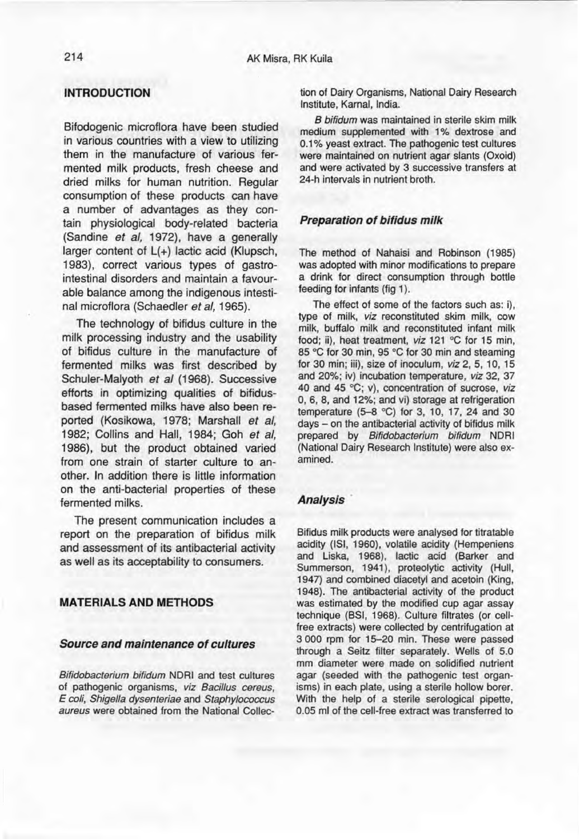## **INTRODUCTION**

Bifodogenic microflora have been studied in various countries with a view to utilizing them in the manufacture of various fermented milk products, fresh cheese and dried milks for human nutrition. Regular consumption of these products can have a number of advantages as they contain physiological body-related bacteria (Sandine *et al,* 1972), have a generally larger content of L(+) lactic acid (Klupsch, 1983), correct various types of gastrointestinal disorders and maintain a favourable balance among the indigenous intestinal microflora (Schaedler *et al, 1965).*

The technology of bifidus culture in the milk processing industry and the usability of bifidus culture in the manufacture of fermented milks was first described by Schuler-Malyoth *et al* (1968). Successive efforts in optimizing qualities of bifidusbased fermented milks have also been reported (Kosikowa, 1978; Marshall *et al,* 1982; Collins and Hall, 1984; Goh *et al,* 1986), but the product obtained varied from one strain of starter culture to another. In addition there is little information on the anti-bacterial properties of these fermented milks.

The present communication inciudes a report on the preparation of bifidus milk and assessment of its antibacterial activity as weil as its acceptability to consumers.

## **MATERIALS AND METHODS**

#### *Source and maintenance of cultures*

*Bifidobacterium bifidum* NORI and test cultures of pathogenic organisms, *viz Bacil/us cereus, E coli, Shigel/a dysenteriae* and *Staphylococcus aureus* were obtained from the National Collection of Oairy Organisms, National Oairy Research Institute, Karnal, India.

*B bifidum* was maintained in sterile skim milk medium supplemented with 1% dextrose and 0.1% yeast extract. The pathogenic test cultures were maintained on nutrient agar slants (Oxoid) and were activated by 3 successive transfers at 24-h intervals in nutrient broth.

#### *Preparation of bifidus milk*

The method of Nahaisi and Robinson (1985) was adopted with minor modifications to prepare a drink for direct consumption through bottle feeding for infants (fig 1).

The effect of some of the factors such as: i), type of milk, *viz* reconstituted skim milk, cow milk, buffalo milk and reconstituted infant milk food; ii), heat treatment, *viz* 121 °C for 15 min, 85 °C for 30 min, 95 °C for 30 min and steaming for 30 min; iii), size of inoculum, *viz* 2,5, 10, 15 and 20%; iv) incubation temperature, *viz* 32, 37 40 and 45 °C; v), concentration of sucrose, viz 0,6,8, and 12%; and vi) storage at refrigeration temperature  $(5-8 °C)$  for 3, 10, 17, 24 and 30 days - on the antibacterial activity of bifidus milk prepared by *Bifidobacterium bifidum* NORI (National Oairy Research Institute) were also examined.

#### *Analysis'*

Bifidus milk products were analysed for titratable acidity (ISI, 1960), volatile acidity (Hempeniens and Liska, 1968), lactic acid (Barker and Summerson, 1941), proteolytic activity (Hull, 1947) and combined diacetyl and acetoin (King, 1948). The antibacterial activity of the product was estimated by the modified cup agar assay technique (BSI, 1968). Culture filtrates (or cellfree extracts) were collected by centrifugation at 3 000 rpm for 15-20 min. These were passed through a Seitz filter separately. Wells of 5.0 mm diameter were made on solidified nutrient agar (seeded with the pathogenic test organisms) in each plate, using a sterile hollow borer. With the help of a sterile serological pipette, 0.05 ml of the cell-free extract was transferred to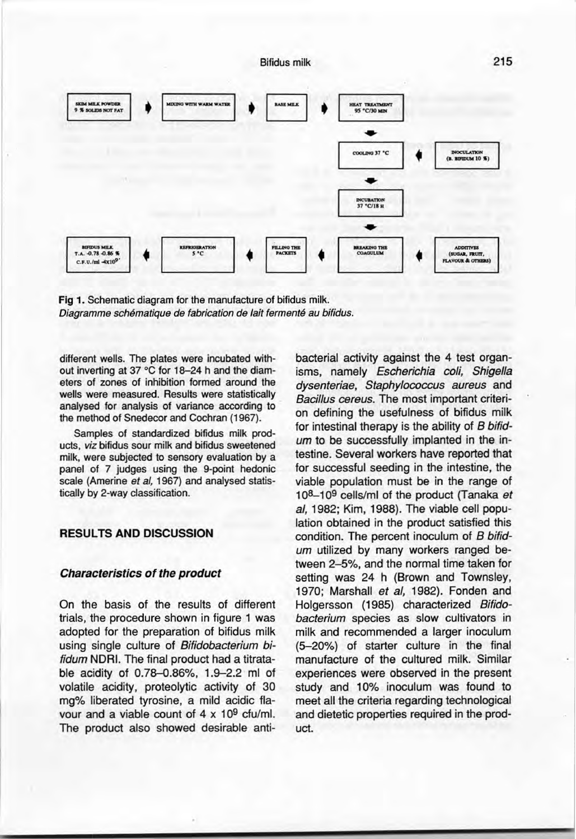

Fig 1. Schematic diagram for the manufacture of bifidus milk. *Diagramme schématique de fabrication de lait fermenté au bifidus.*

different wells. The plates were incubated without inverting at 37  $^{\circ}$ C for 18-24 h and the diameters of zones of inhibition formed around the wells were measured. Results were statistically analysed for analysis of variance according to the method of Snedecor and Cochran (1967).

Samples of standardized bifidus milk products, *viz* bifidus sour milk and bifidus sweetened milk, were subjected to sensory evaluation by a panel of 7 judges using the 9-point hedonic scale (Amerine *et al,* 1967) and analysed statistically by 2-way classification.

#### RESULTS AND DISCUSSION

#### *Characteristics of the product*

On the basis of the results of different trials, the procedure shown in figure 1 was adopted for the preparation of bifidus milk using single culture of *Bifidobacterium bifidum* NDRI. The final product had a titratable acidity of 0.78-0.86%, 1.9-2.2 ml of volatile acidity, proteolytic activity of 30 mg% Iiberated tyrosine, a mild acidic flavour and a viable count of  $4 \times 10^9$  cfu/ml. The product also showed desirable anti-

bacterial activity against the 4 test organisms, namely *Escherichia coli, Shigella dysenteriae, Staphylococcus aureus* and *Bacillus cereus.* The most important criterion defining the usefulness of bifidus milk for intestinal therapy is the ability of *B bifidum* to be successfully implanted in the intestine. Several workers have reported that for successful seeding in the intestine, the viable population must be in the range of 108-109 cells/ml of the product (Tanaka *et al,* 1982; Kim, 1988). The viable cell population obtained in the product satisfied this condition. The percent inoculum of *B bifidum* utilized by many workers ranged between 2-5%, and the normal time taken for setting was 24 h (Brown and Townsley, 1970; Marshall *et al,* 1982). Fonden and Hoigersson (1985) characterized *Bifidobacterium* species as slow cultivators in milk and recommended a larger inoculum (5-20%) of starter culture in the final manufacture of the cultured milk. Similar experiences were observed in the present study and 10% inoculum was found to meet ail the criteria regarding technological and dietetic properties required in the product.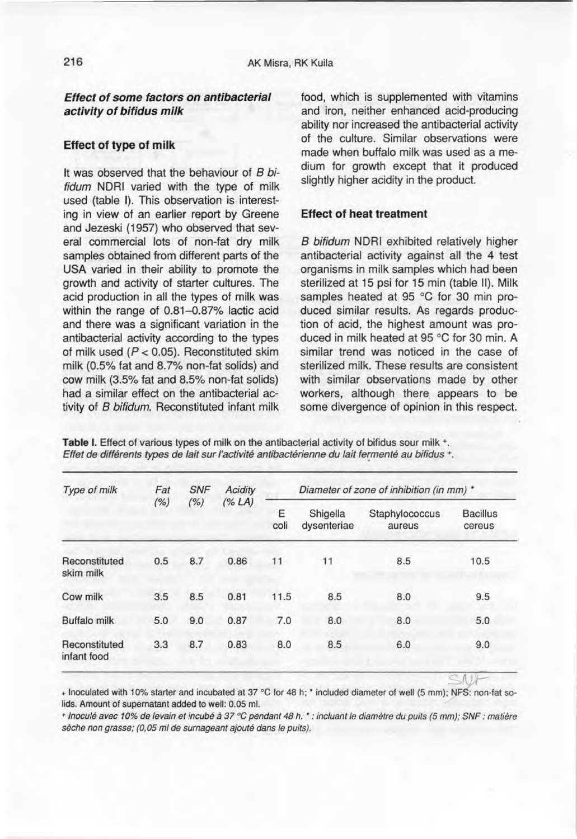*Effect of sorne factors on antibacterial activity of bifidus milk*

## **Effect of type of milk**

It was observed that the behaviour of *B bifidum* NDRI varied with the type of milk used (table I). This observation is interesting in view of an earlier report by Greene and Jezeski (1957) who observed that several commercial lots of non-fat dry milk samples obtained from different parts of the USA varied in their ability to promote the growth and activity of starter cultures. The acid production in ail the types of milk was within the range of 0.81-0.87% lactic acid and there was a significant variation in the antibacterial activity according to the types of milk used *(P* < 0.05). Reconstituted skim milk (0.5% fat and 8.7% non-fat solids) and cow milk (3.5% fat and 8.5% non-fat solids) had a similar effect on the antibacterial activity of *B bifidum.* Reconstituted infant milk

food, which is supplemented with vitamins and iron, neither enhanced acid-producing ability nor increased the antibacterial activity of the culture. Similar observations were made when buffalo milk was used as a medium for growth except that it produced slightly higher acidity in the product.

#### **Effect of heat treatment**

*B bifidum* NDRI exhibited relatively higher antibacterial activity against ail the 4 test organisms in milk samples which had been sterilized at 15 psi for 15 min (table Il). Milk samples heated at 95 °C for 30 min produced similar results. As regards production of acid, the highest amount was produced in milk heated at 95 °C for 30 min. A similar trend was noticed in the case of sterilized milk. These results are consistent with similar observations made by other workers, although there appears to be some divergence of opinion in this respect.

Table I. Effect of various types of milk on the antibacterial activity of bifidus sour milk +. *Effet de différents types de lait sur l'activité antibactérienne du lait termenté au bifidus -.*

| Type of milk                 | Fat<br>(% ) | <b>SNF</b><br>(%) | Acidity<br>(% LA) | Diameter of zone of inhibition (in mm) * |                         |                          |                           |
|------------------------------|-------------|-------------------|-------------------|------------------------------------------|-------------------------|--------------------------|---------------------------|
|                              |             |                   |                   | E<br>coli                                | Shigella<br>dysenteriae | Staphylococcus<br>aureus | <b>Bacillus</b><br>cereus |
| Reconstituted<br>skim milk   | 0.5         | 8.7               | 0.86              | 11                                       | 11                      | 8.5                      | 10.5                      |
| Cow milk                     | 3.5         | 8.5               | 0.81              | 11.5                                     | 8.5                     | 8.0                      | 9.5                       |
| <b>Buffalo milk</b>          | 5.0         | 9.0               | 0.87              | 7.0                                      | 8.0                     | 8.0                      | 5.0                       |
| Reconstituted<br>infant food | 3.3         | 8.7               | 0.83              | 8.0                                      | 8.5                     | 6.0                      | 9.0                       |
|                              |             |                   |                   |                                          |                         |                          |                           |

+ Inoculated with 10% starter and incubated at 37 "O for 48 h; • inciuded diameter of weil (5 mm); NFS: non-fat 50 lids. Amount of supernatant added to well: 0.05 ml.

+ Inoculé avec 10% de levain et incubé à 37 °C pendant 48 h. \* : incluant le diamètre du puits (5 mm); SNF : matière *sèche non grasse; (0.05 ml de surnageant ajouté dans le puits).*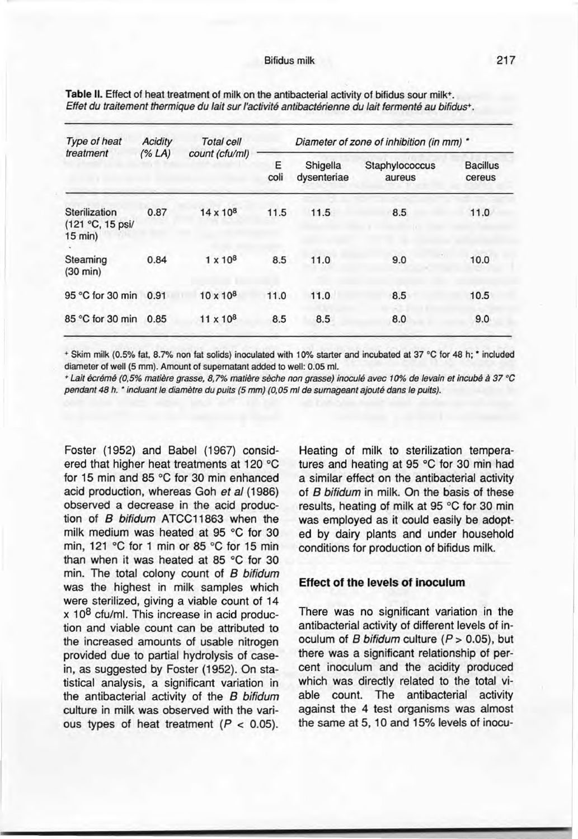| Type of heat<br>treatment                      | Acidity<br>(% LA) | <b>Total cell</b><br>count (cfu/ml) | Diameter of zone of inhibition (in mm) * |                         |                          |                           |  |
|------------------------------------------------|-------------------|-------------------------------------|------------------------------------------|-------------------------|--------------------------|---------------------------|--|
|                                                |                   |                                     | Ε<br>coli                                | Shigella<br>dysenteriae | Staphylococcus<br>aureus | <b>Bacillus</b><br>cereus |  |
| Sterilization<br>(121 °C, 15 psi/<br>$15$ min) | 0.87              | $14 \times 10^{8}$                  | 11.5                                     | 11.5                    | 8.5                      | 11.0                      |  |
| Steaming<br>$(30 \text{ min})$                 | 0.84              | $1 \times 10^8$                     | 8.5                                      | 11.0                    | 9.0                      | 10.0                      |  |
| 95 °C for 30 min                               | 0.91              | $10 \times 10^{8}$                  | 11.0                                     | 11.0                    | 8.5                      | 10.5                      |  |
| 85 °C for 30 min                               | 0.85              | $11 \times 10^8$                    | 8.5                                      | 8.5                     | 8.0                      | 9.0                       |  |

Table II. Effect of heat treatment of milk on the antibacterial activity of bifidus sour milk<sup>+</sup>. *Effet du traitement thermique du lait sur l'activité antibactérienne du lait fermenté au bifidus+.*

+ Skim milk (0.5% fat, 8.7% non fat solids) inoculated with 10% starter and incubated at 37 °C for 48 h; \* included diameter of well (5 mm). Amount of supernatant added to well: 0.05 ml.

+ Lait écrémé (0,5% matière grasse, 8,7% matière sèche non grasse) inoculé avec 10% de levain et incubé à 37 °C *pendant* 48 *h. •incluant le diamètre du puits* (5 *mm) (0.05 ml de surnageant ajouté dans le puits).*

Foster (1952) and Babel (1967) considered that higher heat treatments at 120 "C for 15 min and 85  $^{\circ}$ C for 30 min enhanced acid production, whereas Goh *et al (1986)* observed a decrease in the acid production of *8 bifidum* ATCC11863 when the milk medium was heated at 95  $^{\circ}$ C for 30 min, 121 °C for 1 min or 85 °C for 15 min than when it was heated at 85  $\degree$ C for 30 min. The total colony count of *8 bifidum* was the highest in milk samples which were sterilized, giving a viable count of 14 x 10<sup>8</sup> cfu/ml. This increase in acid production and viable count can be attributed ta the increased amounts of usable nitrogen provided due to partial hydrolysis of casein, as suggested by Foster (1952). On statistical analysis, a significant variation in the antibacterial activity of the *8 bifidum* culture in milk was observed with the various types of heat treatment *(P* < 0.05).

Heating of milk to sterilization temperatures and heating at 95 °C for 30 min had a similar effect on the antibacterial activity of *8 bifidum* in milk. On the basis of these results, heating of milk at 95 °C for 30 min was employed as it could easily be adopted by dairy plants and under household conditions for production of bifidus milk.

#### **Effect of the levels of inoculum**

There was no significant variation in the antibacterial activity of different levels of inoculum of *8 bifidum* culture *(P* > 0.05), but there was a significant relationship of percent inoculum and the acidity produced which was directly related to the total viable count. The antibacterial activity against the 4 test organisms was almost the same at 5, 10 and 15% levels of inocu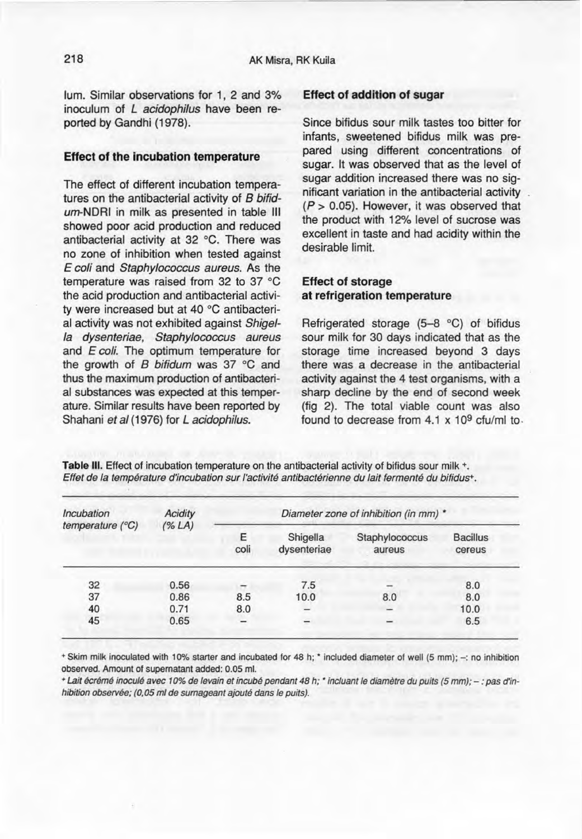lum. Similar observations for 1, 2 and 3% inoculum of *L acidophilus* have been reported by Gandhi (1978).

#### Effect of the incubation temperature

The effect of different incubation temperatures on the antibacterial activity of B *bifid*um-NDRI in milk as presented in table III showed poor acid production and reduced antibacterial activity at 32 °C. There was no zone of inhibition when tested against *E coli* and *Staphylococcus aureus.* As the temperature was raised from 32 to 37  $^{\circ}$ C the acid production and antibacterial activity were increased but at 40 °C antibacterial activity was not exhibited against *Shigella dysenteriae, Staphylococcus aureus* and *E coli.* The optimum temperature for the growth of B bifidum was 37 °C and thus the maximum production of antibacterial substances was expected at this temperature. Similar results have been reported by Shahani *et al* (1976) for *L acidophilus.*

#### Effect of addition of sugar

Since bifidus sour milk tastes too bitter for infants, sweetened bifidus milk was prepared using different concentrations of sugar. It was observed that as the level of sugar addition increased there was no significant variation in the antibacterial activity *(P>* 0.05). However, it was observed that the product with 12% level of sucrose was excellent in taste and had acidity within the desirable limit.

## Effect of storage at refrigeration temperature

Refrigerated storage  $(5-8 °C)$  of bifidus sour milk for 30 days indicated that as the storage time increased beyond 3 days there was a decrease in the antibacterial activity against the 4 test organisms, with a sharp decline by the end of second week (fig 2). The total viable count was also found to decrease from 4.1 x 109 *cfu/ml* to.

Table III. Effect of incubation temperature on the antibacterial activity of bifidus sour milk  $+$ . *Effet de la température d'incubation sur l'activité antibactérienne du lait fermenté du biîidusr,*

| Incubation                | <b>Acidity</b><br>(% LA) | Diameter zone of inhibition (in mm) * |                          |                          |                           |  |  |
|---------------------------|--------------------------|---------------------------------------|--------------------------|--------------------------|---------------------------|--|--|
| temperature $(^{\circ}C)$ |                          | Ε<br>coli                             | Shigella<br>dysenteriae  | Staphylococcus<br>aureus | <b>Bacillus</b><br>cereus |  |  |
| 32                        | 0.56                     |                                       | 7.5                      |                          | 8.0                       |  |  |
| 37                        | 0.86                     | 8.5                                   | 10.0                     | 8.0                      | 8.0                       |  |  |
| 40                        | 0.71                     | 8.0                                   | -                        |                          | 10.0                      |  |  |
| 45                        | 0.65                     | $\overline{\phantom{a}}$              | $\overline{\phantom{0}}$ |                          | 6.5                       |  |  |

+ Skim milk inoculated with 10% starter and incubated for 48 h; • included diameter of weil (5 mm); -: no inhibition observed. Amount of supernatant added: 0.05 ml.

+ Lait écrémé inoculé avec 10% de levain et incubé pendant 48 h; \* incluant le diamètre du puits (5 mm); - : pas d'in*hibition observée; (D,OS ml de sumageant ajouté dans le puits).*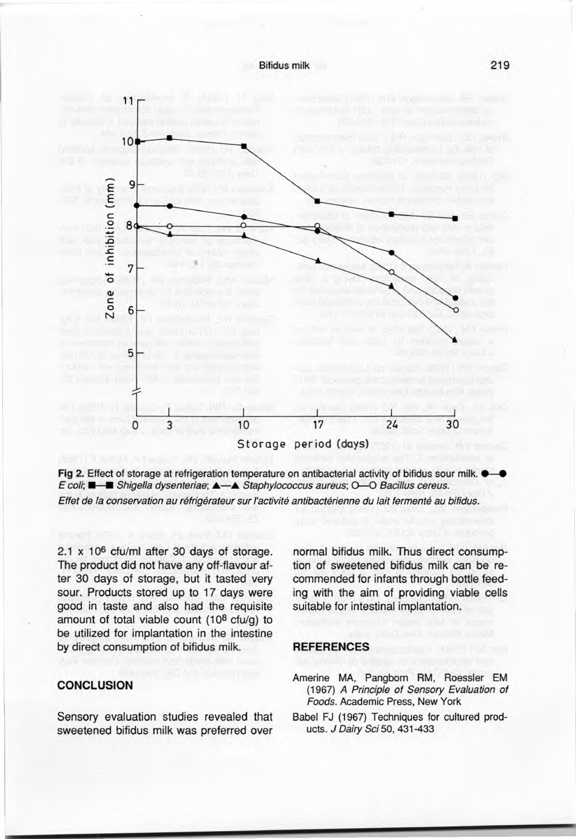



2.1 x 106 cfu/ml after 30 days of storage. The product did not have any off-flavour after 30 days of storage, but it tasted very sour. Products stored up to 17 days were good in taste and also had the requisite amount of total viable count (10 $8$  cfu/g) to be utilized for implantation in the intestine by direct consumption of bifidus milk.

## **CONCLUSION**

Sensory evaluation studies revealed that sweetened bifidus milk was preferred over

normal bifidus milk. Thus direct consumption of sweetened bifidus milk can be recommended for infants through bottle feeding with the aim of providing viable cells suitable for intestinal implantation.

#### **REFERENCES**

- Amerine MA, Pangborn RM, Roessler EM (1967) A *Principle of Sensory Evaluation of Foods.* Academie Press, New York
- Babel FJ (1967) Techniques for cultured products. *J Dairy Sci* 50, 431-433